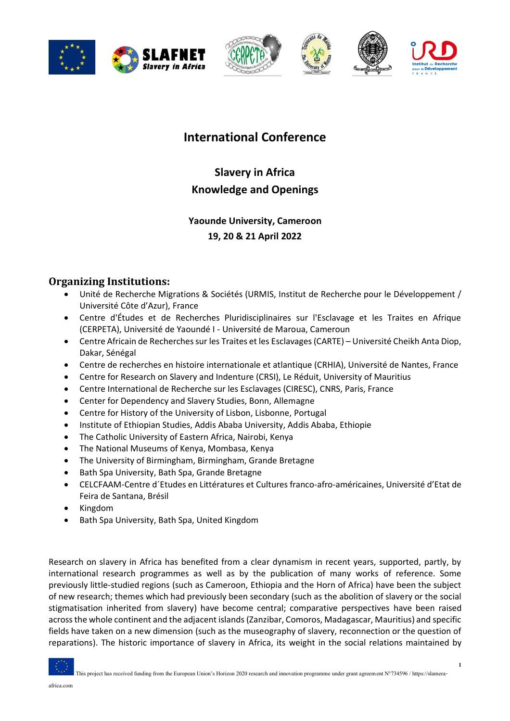







# **International Conference**

**Slavery in Africa Knowledge and Openings**

# **Yaounde University, Cameroon 19, 20 & 21 April 2022**

# **Organizing Institutions:**

- Unité de Recherche Migrations & Sociétés (URMIS, Institut de Recherche pour le Développement / Université Côte d'Azur), France
- Centre d'Études et de Recherches Pluridisciplinaires sur l'Esclavage et les Traites en Afrique (CERPETA), Université de Yaoundé I - Université de Maroua, Cameroun
- Centre Africain de Recherches sur les Traites et les Esclavages (CARTE) Université Cheikh Anta Diop, Dakar, Sénégal
- Centre de recherches en histoire internationale et atlantique (CRHIA), Université de Nantes, France
- Centre for Research on Slavery and Indenture (CRSI), Le Réduit, University of Mauritius
- Centre International de Recherche sur les Esclavages (CIRESC), CNRS, Paris, France
- Center for Dependency and Slavery Studies, Bonn, Allemagne
- Centre for History of the University of Lisbon, Lisbonne, Portugal
- Institute of Ethiopian Studies, Addis Ababa University, Addis Ababa, Ethiopie
- The Catholic University of Eastern Africa, Nairobi, Kenya
- The National Museums of Kenya, Mombasa, Kenya
- The University of Birmingham, Birmingham, Grande Bretagne
- Bath Spa University, Bath Spa, Grande Bretagne
- CELCFAAM-Centre d´Etudes en Littératures et Cultures franco-afro-américaines, Université d'Etat de Feira de Santana, Brésil
- Kingdom
- Bath Spa University, Bath Spa, United Kingdom

Research on slavery in Africa has benefited from a clear dynamism in recent years, supported, partly, by international research programmes as well as by the publication of many works of reference. Some previously little-studied regions (such as Cameroon, Ethiopia and the Horn of Africa) have been the subject of new research; themes which had previously been secondary (such as the abolition of slavery or the social stigmatisation inherited from slavery) have become central; comparative perspectives have been raised across the whole continent and the adjacent islands (Zanzibar, Comoros, Madagascar, Mauritius) and specific fields have taken on a new dimension (such as the museography of slavery, reconnection or the question of reparations). The historic importance of slavery in Africa, its weight in the social relations maintained by

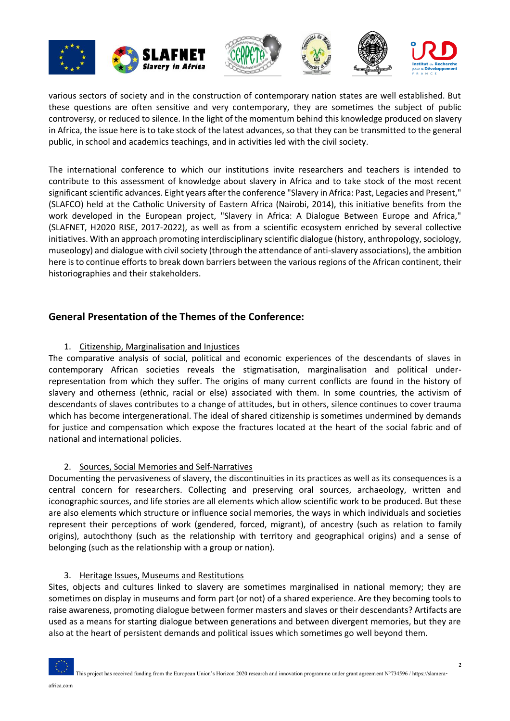







various sectors of society and in the construction of contemporary nation states are well established. But these questions are often sensitive and very contemporary, they are sometimes the subject of public controversy, or reduced to silence. In the light of the momentum behind this knowledge produced on slavery in Africa, the issue here is to take stock of the latest advances, so that they can be transmitted to the general public, in school and academics teachings, and in activities led with the civil society.

The international conference to which our institutions invite researchers and teachers is intended to contribute to this assessment of knowledge about slavery in Africa and to take stock of the most recent significant scientific advances. Eight years after the conference "Slavery in Africa: Past, Legacies and Present," (SLAFCO) held at the Catholic University of Eastern Africa (Nairobi, 2014), this initiative benefits from the work developed in the European project, "Slavery in Africa: A Dialogue Between Europe and Africa," (SLAFNET, H2020 RISE, 2017-2022), as well as from a scientific ecosystem enriched by several collective initiatives. With an approach promoting interdisciplinary scientific dialogue (history, anthropology, sociology, museology) and dialogue with civil society (through the attendance of anti-slavery associations), the ambition here is to continue efforts to break down barriers between the various regions of the African continent, their historiographies and their stakeholders.

## **General Presentation of the Themes of the Conference:**

#### 1. Citizenship, Marginalisation and Injustices

The comparative analysis of social, political and economic experiences of the descendants of slaves in contemporary African societies reveals the stigmatisation, marginalisation and political underrepresentation from which they suffer. The origins of many current conflicts are found in the history of slavery and otherness (ethnic, racial or else) associated with them. In some countries, the activism of descendants of slaves contributes to a change of attitudes, but in others, silence continues to cover trauma which has become intergenerational. The ideal of shared citizenship is sometimes undermined by demands for justice and compensation which expose the fractures located at the heart of the social fabric and of national and international policies.

#### 2. Sources, Social Memories and Self-Narratives

Documenting the pervasiveness of slavery, the discontinuities in its practices as well as its consequences is a central concern for researchers. Collecting and preserving oral sources, archaeology, written and iconographic sources, and life stories are all elements which allow scientific work to be produced. But these are also elements which structure or influence social memories, the ways in which individuals and societies represent their perceptions of work (gendered, forced, migrant), of ancestry (such as relation to family origins), autochthony (such as the relationship with territory and geographical origins) and a sense of belonging (such as the relationship with a group or nation).

#### 3. Heritage Issues, Museums and Restitutions

Sites, objects and cultures linked to slavery are sometimes marginalised in national memory; they are sometimes on display in museums and form part (or not) of a shared experience. Are they becoming tools to raise awareness, promoting dialogue between former masters and slaves or their descendants? Artifacts are used as a means for starting dialogue between generations and between divergent memories, but they are also at the heart of persistent demands and political issues which sometimes go well beyond them.

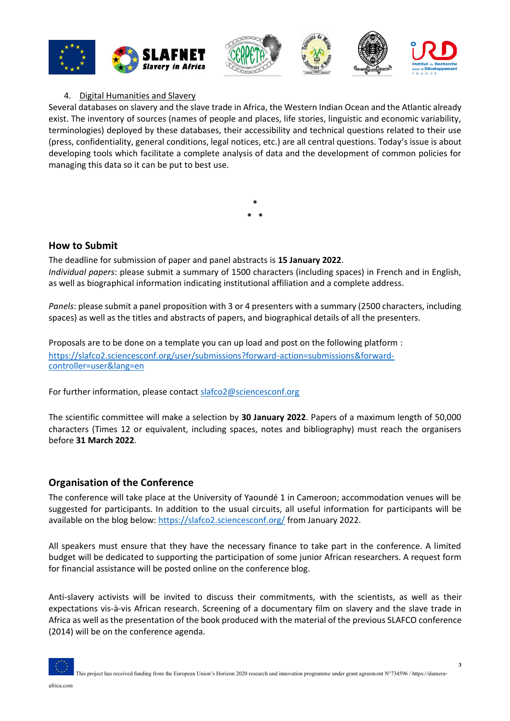

#### 4. Digital Humanities and Slavery

Several databases on slavery and the slave trade in Africa, the Western Indian Ocean and the Atlantic already exist. The inventory of sources (names of people and places, life stories, linguistic and economic variability, terminologies) deployed by these databases, their accessibility and technical questions related to their use (press, confidentiality, general conditions, legal notices, etc.) are all central questions. Today's issue is about developing tools which facilitate a complete analysis of data and the development of common policies for managing this data so it can be put to best use.

**How to Submit**

The deadline for submission of paper and panel abstracts is **15 January 2022**. *Individual papers*: please submit a summary of 1500 characters (including spaces) in French and in English, as well as biographical information indicating institutional affiliation and a complete address.

**\* \* \***

*Panels*: please submit a panel proposition with 3 or 4 presenters with a summary (2500 characters, including spaces) as well as the titles and abstracts of papers, and biographical details of all the presenters.

Proposals are to be done on a template you can up load and post on the following platform : [https://slafco2.sciencesconf.org/user/submissions?forward-action=submissions&forward](https://slafco2.sciencesconf.org/user/submissions?forward-action=submissions&forward-controller=user&lang=en)[controller=user&lang=en](https://slafco2.sciencesconf.org/user/submissions?forward-action=submissions&forward-controller=user&lang=en)

For further information, please contact [slafco2@sciencesconf.org](mailto:slafco2@sciencesconf.org)

The scientific committee will make a selection by **30 January 2022**. Papers of a maximum length of 50,000 characters (Times 12 or equivalent, including spaces, notes and bibliography) must reach the organisers before **31 March 2022**.

#### **Organisation of the Conference**

The conference will take place at the University of Yaoundé 1 in Cameroon; accommodation venues will be suggested for participants. In addition to the usual circuits, all useful information for participants will be available on the blog below:<https://slafco2.sciencesconf.org/> from January 2022.

All speakers must ensure that they have the necessary finance to take part in the conference. A limited budget will be dedicated to supporting the participation of some junior African researchers. A request form for financial assistance will be posted online on the conference blog.

Anti-slavery activists will be invited to discuss their commitments, with the scientists, as well as their expectations vis-à-vis African research. Screening of a documentary film on slavery and the slave trade in Africa as well as the presentation of the book produced with the material of the previous SLAFCO conference (2014) will be on the conference agenda.

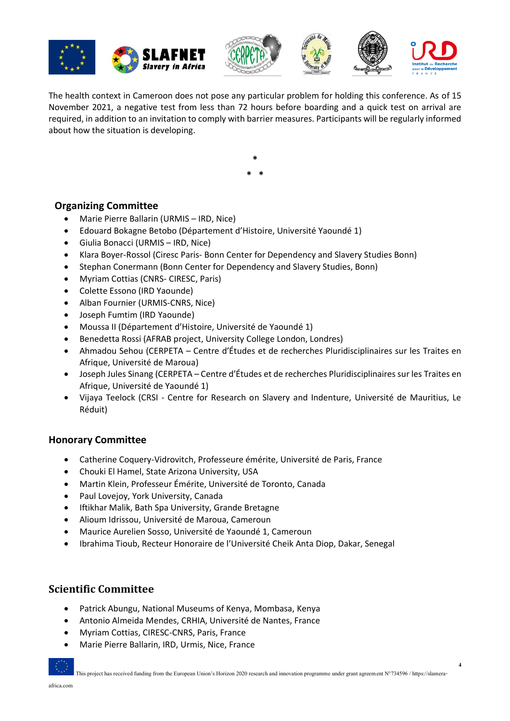







**4**

The health context in Cameroon does not pose any particular problem for holding this conference. As of 15 November 2021, a negative test from less than 72 hours before boarding and a quick test on arrival are required, in addition to an invitation to comply with barrier measures. Participants will be regularly informed about how the situation is developing.

> **\* \* \***

### **Organizing Committee**

- Marie Pierre Ballarin (URMIS IRD, Nice)
- Edouard Bokagne Betobo (Département d'Histoire, Université Yaoundé 1)
- Giulia Bonacci (URMIS IRD, Nice)
- Klara Boyer-Rossol (Ciresc Paris- Bonn Center for Dependency and Slavery Studies Bonn)
- Stephan Conermann (Bonn Center for Dependency and Slavery Studies, Bonn)
- Myriam Cottias (CNRS- CIRESC, Paris)
- Colette Essono (IRD Yaounde)
- Alban Fournier (URMIS-CNRS, Nice)
- Joseph Fumtim (IRD Yaounde)
- Moussa II (Département d'Histoire, Université de Yaoundé 1)
- Benedetta Rossi (AFRAB project, University College London, Londres)
- Ahmadou Sehou (CERPETA Centre d'Études et de recherches Pluridisciplinaires sur les Traites en Afrique, Université de Maroua)
- Joseph Jules Sinang (CERPETA Centre d'Études et de recherches Pluridisciplinaires sur les Traites en Afrique, Université de Yaoundé 1)
- Vijaya Teelock (CRSI Centre for Research on Slavery and Indenture, Université de Mauritius, Le Réduit)

#### **Honorary Committee**

- Catherine Coquery-Vidrovitch, Professeure émérite, Université de Paris, France
- Chouki El Hamel, State Arizona University, USA
- Martin Klein, Professeur Émérite, Université de Toronto, Canada
- Paul Lovejoy, York University, Canada
- Iftikhar Malik, Bath Spa University, Grande Bretagne
- Alioum Idrissou, Université de Maroua, Cameroun
- Maurice Aurelien Sosso, Université de Yaoundé 1, Cameroun
- Ibrahima Tioub, Recteur Honoraire de l'Université Cheik Anta Diop, Dakar, Senegal

### **Scientific Committee**

- Patrick Abungu, National Museums of Kenya, Mombasa, Kenya
- Antonio Almeida Mendes, CRHIA, Université de Nantes, France
- Myriam Cottias, CIRESC-CNRS, Paris, France
- Marie Pierre Ballarin, IRD, Urmis, Nice, France